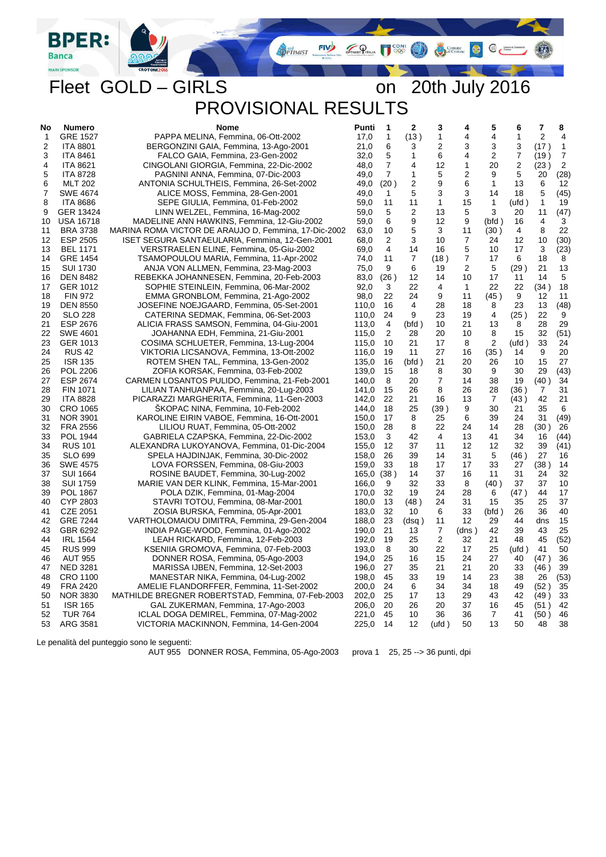Comune **C** Commence  $\bigcirc$ 

 $\mathbf{u}_2$ 

Fleet GOLD – GIRLS on 20th July 2016 PROVISIONAL RESULTS

**FIV** 

**OPTIMIST** 

 $\mathcal{P}_{\text{max}}$ 

LIA CONI

| No           | Numero           | <b>Nome</b>                                          | Punti | 1              | 2              | 3              | 4              | 5              | 6              | 7              | 8              |
|--------------|------------------|------------------------------------------------------|-------|----------------|----------------|----------------|----------------|----------------|----------------|----------------|----------------|
| $\mathbf{1}$ | <b>GRE 1527</b>  | PAPPA MELINA, Femmina, 06-Ott-2002                   | 17,0  | 1              | (13)           | $\mathbf{1}$   | 4              | 4              | 1              | $\overline{2}$ | $\overline{4}$ |
| 2            | <b>ITA 8801</b>  | BERGONZINI GAIA, Femmina, 13-Ago-2001                | 21,0  | 6              | 3              | 2              | 3              | 3              | 3              | (17)           | $\mathbf{1}$   |
| 3            | <b>ITA 8461</b>  | FALCO GAIA, Femmina, 23-Gen-2002                     | 32,0  | 5              | $\mathbf{1}$   | 6              | 4              | 2              | $\overline{7}$ | (19)           | $\overline{7}$ |
| 4            | <b>ITA 8621</b>  | CINGOLANI GIORGIA, Femmina, 22-Dic-2002              | 48,0  | $\overline{7}$ | 4              | 12             | $\mathbf{1}$   | 20             | 2              | (23)           | $\overline{2}$ |
| 5            | <b>ITA 8728</b>  | PAGNINI ANNA, Femmina, 07-Dic-2003                   | 49,0  | $\overline{7}$ | 1              | 5              | 2              | 9              | 5              | 20             | (28)           |
| 6            | <b>MLT 202</b>   | ANTONIA SCHULTHEIS, Femmina, 26-Set-2002             | 49,0  | (20)           | 2              | 9              | 6              | $\mathbf{1}$   | 13             | 6              | 12             |
| 7            | <b>SWE 4674</b>  | ALICE MOSS, Femmina, 28-Gen-2001                     | 49,0  | 1              | 5              | 3              | 3              | 14             | 18             | 5              | (45)           |
| 8            | <b>ITA 8686</b>  | SEPE GIULIA, Femmina, 01-Feb-2002                    | 59,0  | 11             | 11             | $\mathbf 1$    | 15             | 1              | (ufd )         | $\mathbf{1}$   | 19             |
| 9            | GER 13424        | LINN WELZEL, Femmina, 16-Mag-2002                    | 59,0  | 5              | $\overline{2}$ | 13             | 5              | 3              | 20             | 11             | (47)           |
| 10           | <b>USA 16718</b> | MADELINE ANN HAWKINS, Femmina, 12-Giu-2002           | 59,0  | 6              | 9              | 12             | 9              | (bfd)          | 16             | 4              | 3              |
| 11           | <b>BRA 3738</b>  | MARINA ROMA VICTOR DE ARAUJO D, Femmina, 17-Dic-2002 | 63,0  | 10             | 5              | 3              | 11             | (30)           | 4              | 8              | 22             |
| 12           | ESP 2505         | ISET SEGURA SANTAEULARIA, Femmina, 12-Gen-2001       | 68,0  | 2              | 3              | 10             | $\overline{7}$ | 24             | 12             | 10             | (30)           |
| 13           | <b>BEL 1171</b>  | VERSTRAELEN ELINE, Femmina, 05-Giu-2002              | 69,0  | 4              | 14             | 16             | 5              | 10             | 17             | 3              | (23)           |
| 14           | <b>GRE 1454</b>  | TSAMOPOULOU MARIA, Femmina, 11-Apr-2002              | 74,0  | 11             | 7              | (18)           | $\overline{7}$ | 17             | 6              | 18             | 8              |
| 15           | <b>SUI 1730</b>  | ANJA VON ALLMEN, Femmina, 23-Mag-2003                | 75,0  | 9              | 6              | 19             | 2              | 5              | (29)           | 21             | 13             |
| 16           | <b>DEN 8482</b>  | REBEKKA JOHANNESEN, Femmina, 20-Feb-2003             | 83,0  | (26)           | 12             | 14             | 10             | 17             | 11             | 14             | $\sqrt{5}$     |
| 17           | GER 1012         | SOPHIE STEINLEIN, Femmina, 06-Mar-2002               | 92.0  | 3              | 22             | 4              | $\mathbf{1}$   | 22             | 22             | (34)           | 18             |
| 18           | <b>FIN 972</b>   | EMMA GRONBLOM, Femmina, 21-Ago-2002                  | 98,0  | 22             | 24             | 9              | 11             | (45)           | 9              | 12             | 11             |
| 19           | <b>DEN 8550</b>  | JOSEFINE NOEJGAARD, Femmina, 05-Set-2001             | 110,0 | 16             | 4              | 28             | 18             | 8              | 23             | 13             | (48)           |
| 20           | <b>SLO 228</b>   | CATERINA SEDMAK, Femmina, 06-Set-2003                | 110,0 | 24             | 9              | 23             | 19             | 4              | (25)           | 22             | 9              |
| 21           | ESP 2676         | ALICIA FRASS SAMSON, Femmina, 04-Giu-2001            | 113,0 | $\overline{4}$ | (bfd)          | 10             | 21             | 13             | 8              | 28             | 29             |
| 22           | <b>SWE 4601</b>  | JOAHANNA EDH, Femmina, 21-Giu-2001                   | 115,0 | $\overline{2}$ | 28             | 20             | 10             | 8              | 15             | 32             | (51)           |
| 23           | GER 1013         | COSIMA SCHLUETER, Femmina, 13-Lug-2004               | 115,0 | 10             | 21             | 17             | 8              | $\overline{2}$ | (ufd)          | 33             | 24             |
| 24           | <b>RUS 42</b>    | VIKTORIA LICSANOVA, Femmina, 13-Ott-2002             | 116,0 | 19             | 11             | 27             | 16             | (35)           | 14             | 9              | 20             |
| 25           | <b>ISR 135</b>   | ROTEM SHEN TAL, Femmina, 13-Gen-2002                 | 135,0 | 16             | (bfd)          | 21             | 20             | 26             | 10             | 15             | 27             |
| 26           | <b>POL 2206</b>  | ZOFIA KORSAK, Femmina, 03-Feb-2002                   | 139,0 | 15             | 18             | 8              | 30             | 9              | 30             | 29             | (43)           |
| 27           | <b>ESP 2674</b>  | CARMEN LOSANTOS PULIDO, Femmina, 21-Feb-2001         | 140,0 | 8              | 20             | $\overline{7}$ | 14             | 38             | 19             | (40)           | 34             |
| 28           | FIN 1071         | LILIAN TANHUANPAA, Femmina, 20-Lug-2003              | 141,0 | 15             | 26             | 8              | 26             | 28             | (36)           | 7              | 31             |
| 29           | <b>ITA 8828</b>  | PICARAZZI MARGHERITA, Femmina, 11-Gen-2003           | 142,0 | 22             | 21             | 16             | 13             | 7              | (43)           | 42             | 21             |
| 30           | CRO 1065         | SKOPAC NINA, Femmina, 10-Feb-2002                    | 144,0 | 18             | 25             | (39 )          | 9              | 30             | 21             | 35             | 6              |
| 31           | <b>NOR 3901</b>  | KAROLINE EIRIN VABOE, Femmina, 16-Ott-2001           | 150,0 | 17             | 8              | 25             | 6              | 39             | 24             | 31             | (49)           |
| 32           | <b>FRA 2556</b>  | LILIOU RUAT, Femmina, 05-Ott-2002                    | 150,0 | 28             | 8              | 22             | 24             | 14             | 28             | (30)           | 26             |
| 33           | POL 1944         | GABRIELA CZAPSKA, Femmina, 22-Dic-2002               | 153,0 | 3              | 42             | 4              | 13             | 41             | 34             | 16             | (44)           |
| 34           | <b>RUS 101</b>   | ALEXANDRA LUKOYANOVA, Femmina, 01-Dic-2004           | 155,0 | 12             | 37             | 11             | 12             | 12             | 32             | 39             | (41)           |
| 35           | SLO 699          | SPELA HAJDINJAK, Femmina, 30-Dic-2002                | 158,0 | 26             | 39             | 14             | 31             | 5              | (46)           | 27             | 16             |
| 36           | <b>SWE 4575</b>  | LOVA FORSSEN, Femmina, 08-Giu-2003                   | 159,0 | 33             | 18             | 17             | 17             | 33             | 27             | (38)           | 14             |
| 37           | <b>SUI 1664</b>  | ROSINE BAUDET, Femmina, 30-Lug-2002                  | 165,0 | (38)           | 14             | 37             | 16             | 11             | 31             | 24             | 32             |
| 38           | <b>SUI 1759</b>  | MARIE VAN DER KLINK, Femmina, 15-Mar-2001            | 166.0 | 9              | 32             | 33             | 8              | (40)           | 37             | 37             | 10             |
| 39           | <b>POL 1867</b>  | POLA DZIK, Femmina, 01-Mag-2004                      | 170,0 | 32             | 19             | 24             | 28             | 6              | (47)           | 44             | 17             |
| 40           | CYP 2803         | STAVRI TOTOU, Femmina, 08-Mar-2001                   | 180.0 | 13             | (48)           | 24             | 31             | 15             | 35             | 25             | 37             |
| 41           | <b>CZE 2051</b>  | ZOSIA BURSKA, Femmina, 05-Apr-2001                   | 183,0 | 32             | 10             | 6              | 33             | (bfd)          | 26             | 36             | 40             |
| 42           | <b>GRE 7244</b>  | VARTHOLOMAIOU DIMITRA, Femmina, 29-Gen-2004          | 188,0 | 23             | (dsq)          | 11             | 12             | 29             | 44             | dns            | 15             |
| 43           | GBR 6292         | INDIA PAGE-WOOD, Femmina, 01-Ago-2002                | 190,0 | 21             | 13             | 7              | (dns)          | 42             | 39             | 43             | 25             |
| 44           | <b>IRL 1564</b>  | LEAH RICKARD, Femmina, 12-Feb-2003                   | 192,0 | 19             | 25             | 2              | 32             | 21             | 48             | 45             | (52)           |
| 45           | <b>RUS 999</b>   | KSENIIA GROMOVA, Femmina, 07-Feb-2003                | 193,0 | 8              | 30             | 22             | 17             | 25             | (ufd)          | 41             | 50             |
| 46           | <b>AUT 955</b>   | DONNER ROSA, Femmina, 05-Ago-2003                    | 194,0 | 25             | 16             | 15             | 24             | 27             | 40             | (47)           | 36             |
| 47           | <b>NED 3281</b>  | MARISSA IJBEN, Femmina, 12-Set-2003                  | 196,0 | 27             | 35             | 21             | 21             | 20             | 33             | (46)           | 39             |
| 48           | CRO 1100         | MANESTAR NIKA, Femmina, 04-Lug-2002                  | 198,0 | 45             | 33             | 19             | 14             | 23             | 38             | 26             | (53)           |
| 49           | <b>FRA 2420</b>  | AMELIE FLANDORFFER, Femmina, 11-Set-2002             | 200,0 | 24             | 6              | 34             | 34             | 18             | 49             | (52)           | 35             |
| 50           | <b>NOR 3830</b>  | MATHILDE BREGNER ROBERTSTAD, Femmina, 07-Feb-2003    | 202,0 | 25             | 17             | 13             | 29             | 43             | 42             | (49)           | 33             |
| 51           | <b>ISR 165</b>   | GAL ZUKERMAN, Femmina, 17-Ago-2003                   | 206,0 | 20             | 26             | 20             | 37             | 16             | 45             | (51)           | 42             |
| 52           | <b>TUR 764</b>   | ICLAL DOGA DEMIREL, Femmina, 07-Mag-2002             | 221,0 | 45             | 10             | 36             | 36             | 7              | 41             | (50)           | 46             |
| 53           | ARG 3581         | VICTORIA MACKINNON, Femmina, 14-Gen-2004             | 225,0 | 14             | 12             | (ufd)          | 50             | 13             | 50             | 48             | 38             |
|              |                  |                                                      |       |                |                |                |                |                |                |                |                |

Le penalità del punteggio sono le seguenti:

**BPER:** 

**Banca** MAIN SPON

AUT 955 DONNER ROSA, Femmina, 05-Ago-2003 prova 1 25, 25 --> 36 punti, dpi